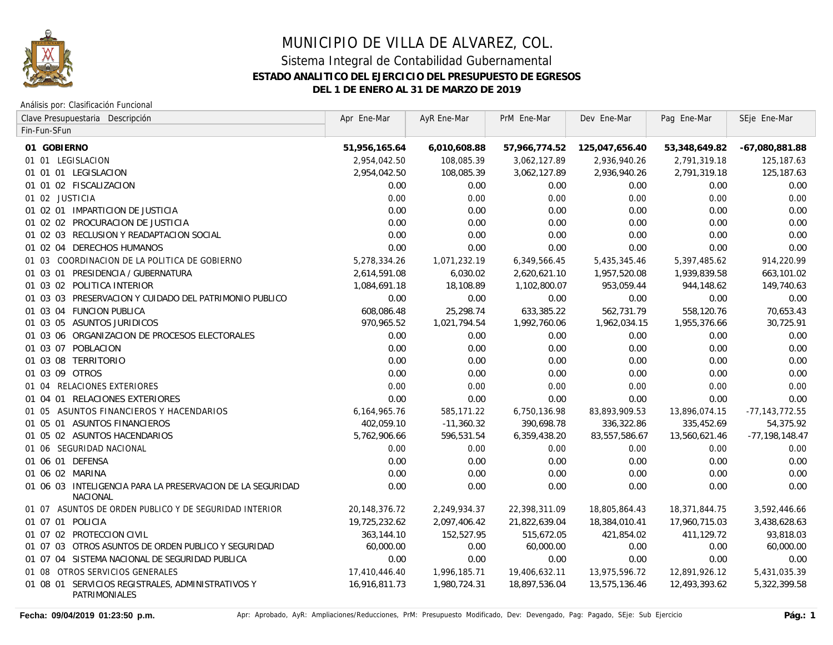

#### Análisis por: Clasificación Funcional

| Clave Presupuestaria Descripción                                       | Apr Ene-Mar   | AyR Ene-Mar  | PrM Ene-Mar   | Dev Ene-Mar    | Pag Ene-Mar   | SEje Ene-Mar       |
|------------------------------------------------------------------------|---------------|--------------|---------------|----------------|---------------|--------------------|
| Fin-Fun-SFun                                                           |               |              |               |                |               |                    |
| 01 GOBIERNO                                                            | 51,956,165.64 | 6,010,608.88 | 57,966,774.52 | 125,047,656.40 | 53,348,649.82 | $-67,080,881.88$   |
| 01 01 LEGISLACION                                                      | 2,954,042.50  | 108,085.39   | 3,062,127.89  | 2,936,940.26   | 2,791,319.18  | 125,187.63         |
| 01 01 01 LEGISLACION                                                   | 2,954,042.50  | 108,085.39   | 3,062,127.89  | 2,936,940.26   | 2,791,319.18  | 125,187.63         |
| 01 01 02 FISCALIZACION                                                 | 0.00          | 0.00         | 0.00          | 0.00           | 0.00          | 0.00               |
| 01 02 JUSTICIA                                                         | 0.00          | 0.00         | 0.00          | 0.00           | 0.00          | 0.00               |
| 01 02 01 IMPARTICION DE JUSTICIA                                       | 0.00          | 0.00         | 0.00          | 0.00           | 0.00          | 0.00               |
| 01 02 02 PROCURACION DE JUSTICIA                                       | 0.00          | 0.00         | 0.00          | 0.00           | 0.00          | 0.00               |
| 01 02 03 RECLUSION Y READAPTACION SOCIAL                               | 0.00          | 0.00         | 0.00          | 0.00           | 0.00          | 0.00               |
| 01 02 04 DERECHOS HUMANOS                                              | 0.00          | 0.00         | 0.00          | 0.00           | 0.00          | 0.00               |
| 01 03 COORDINACION DE LA POLITICA DE GOBIERNO                          | 5,278,334.26  | 1,071,232.19 | 6,349,566.45  | 5,435,345.46   | 5,397,485.62  | 914,220.99         |
| 01 03 01 PRESIDENCIA / GUBERNATURA                                     | 2,614,591.08  | 6,030.02     | 2,620,621.10  | 1,957,520.08   | 1,939,839.58  | 663,101.02         |
| 01 03 02 POLITICA INTERIOR                                             | 1,084,691.18  | 18,108.89    | 1,102,800.07  | 953,059.44     | 944,148.62    | 149,740.63         |
| 01 03 03 PRESERVACION Y CUIDADO DEL PATRIMONIO PUBLICO                 | 0.00          | 0.00         | 0.00          | 0.00           | 0.00          | 0.00               |
| 01 03 04 FUNCION PUBLICA                                               | 608,086.48    | 25,298.74    | 633,385.22    | 562,731.79     | 558,120.76    | 70,653.43          |
| 01 03 05 ASUNTOS JURIDICOS                                             | 970,965.52    | 1,021,794.54 | 1,992,760.06  | 1,962,034.15   | 1,955,376.66  | 30,725.91          |
| 01 03 06 ORGANIZACION DE PROCESOS ELECTORALES                          | 0.00          | 0.00         | 0.00          | 0.00           | 0.00          | 0.00               |
| 01 03 07 POBLACION                                                     | 0.00          | 0.00         | 0.00          | 0.00           | 0.00          | 0.00               |
| 01 03 08 TERRITORIO                                                    | 0.00          | 0.00         | 0.00          | 0.00           | 0.00          | 0.00               |
| 01 03 09 OTROS                                                         | 0.00          | 0.00         | 0.00          | 0.00           | 0.00          | 0.00               |
| 01 04 RELACIONES EXTERIORES                                            | 0.00          | 0.00         | 0.00          | 0.00           | 0.00          | 0.00               |
| 01 04 01 RELACIONES EXTERIORES                                         | 0.00          | 0.00         | 0.00          | 0.00           | 0.00          | 0.00               |
| 01 05 ASUNTOS FINANCIEROS Y HACENDARIOS                                | 6,164,965.76  | 585,171.22   | 6,750,136.98  | 83,893,909.53  | 13,896,074.15 | $-77, 143, 772.55$ |
| 01 05 01 ASUNTOS FINANCIEROS                                           | 402,059.10    | $-11,360.32$ | 390,698.78    | 336,322.86     | 335,452.69    | 54,375.92          |
| 01 05 02 ASUNTOS HACENDARIOS                                           | 5,762,906.66  | 596,531.54   | 6,359,438.20  | 83,557,586.67  | 13,560,621.46 | $-77, 198, 148.47$ |
| 01 06 SEGURIDAD NACIONAL                                               | 0.00          | 0.00         | 0.00          | 0.00           | 0.00          | 0.00               |
| 01 06 01 DEFENSA                                                       | 0.00          | 0.00         | 0.00          | 0.00           | 0.00          | 0.00               |
| 01 06 02 MARINA                                                        | 0.00          | 0.00         | 0.00          | 0.00           | 0.00          | 0.00               |
| 01 06 03 INTELIGENCIA PARA LA PRESERVACION DE LA SEGURIDAD<br>NACIONAL | 0.00          | 0.00         | 0.00          | 0.00           | 0.00          | 0.00               |
| 01 07 ASUNTOS DE ORDEN PUBLICO Y DE SEGURIDAD INTERIOR                 | 20,148,376.72 | 2,249,934.37 | 22,398,311.09 | 18,805,864.43  | 18,371,844.75 | 3,592,446.66       |
| 01 07 01 POLICIA                                                       | 19,725,232.62 | 2,097,406.42 | 21,822,639.04 | 18,384,010.41  | 17,960,715.03 | 3,438,628.63       |
| 01 07 02 PROTECCION CIVIL                                              | 363,144.10    | 152,527.95   | 515,672.05    | 421,854.02     | 411,129.72    | 93,818.03          |
| 01 07 03 OTROS ASUNTOS DE ORDEN PUBLICO Y SEGURIDAD                    | 60,000.00     | 0.00         | 60,000.00     | 0.00           | 0.00          | 60,000.00          |
| 01 07 04 SISTEMA NACIONAL DE SEGURIDAD PUBLICA                         | 0.00          | 0.00         | 0.00          | 0.00           | 0.00          | 0.00               |
| 01 08 OTROS SERVICIOS GENERALES                                        | 17,410,446.40 | 1,996,185.71 | 19,406,632.11 | 13,975,596.72  | 12,891,926.12 | 5,431,035.39       |
| 01 08 01 SERVICIOS REGISTRALES, ADMINISTRATIVOS Y<br>PATRIMONIALES     | 16,916,811.73 | 1,980,724.31 | 18,897,536.04 | 13,575,136.46  | 12,493,393.62 | 5,322,399.58       |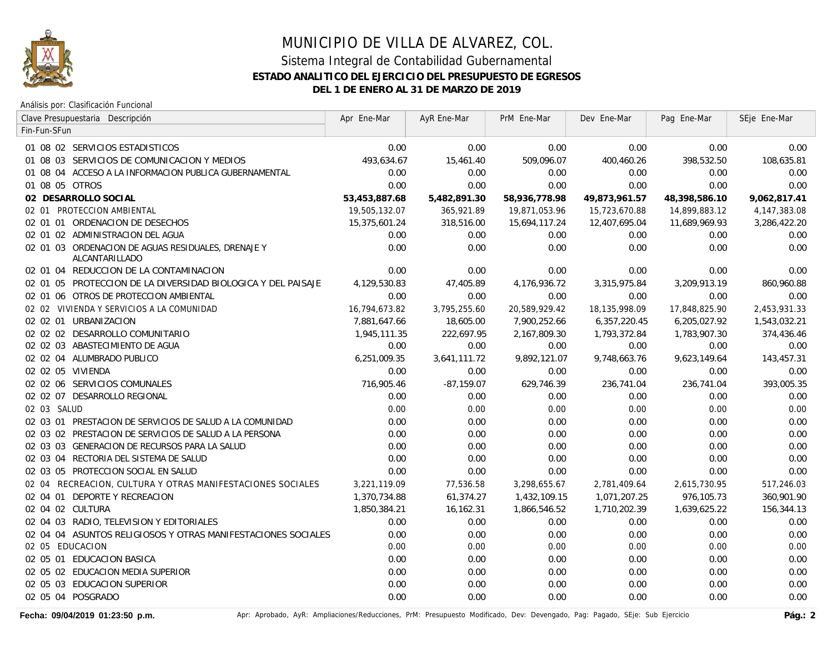

Análisis por: Clasificación Funcional

| Clave Presupuestaria Descripción                                     | Apr Ene-Mar   | AyR Ene-Mar  | PrM Ene-Mar   | Dev Ene-Mar   | Pag Ene-Mar   | SEje Ene-Mar |
|----------------------------------------------------------------------|---------------|--------------|---------------|---------------|---------------|--------------|
| Fin-Fun-SFun                                                         |               |              |               |               |               |              |
| 01 08 02 SERVICIOS ESTADISTICOS                                      | 0.00          | 0.00         | 0.00          | 0.00          | 0.00          | 0.00         |
| 01 08 03 SERVICIOS DE COMUNICACION Y MEDIOS                          | 493,634.67    | 15,461.40    | 509,096.07    | 400,460.26    | 398,532.50    | 108,635.81   |
| 01 08 04 ACCESO A LA INFORMACION PUBLICA GUBERNAMENTAL               | 0.00          | 0.00         | 0.00          | 0.00          | 0.00          | 0.00         |
| 01 08 05 OTROS                                                       | 0.00          | 0.00         | 0.00          | 0.00          | 0.00          | 0.00         |
| 02 DESARROLLO SOCIAL                                                 | 53,453,887.68 | 5,482,891.30 | 58,936,778.98 | 49,873,961.57 | 48,398,586.10 | 9,062,817.41 |
| 02 01 PROTECCION AMBIENTAL                                           | 19,505,132.07 | 365,921.89   | 19,871,053.96 | 15,723,670.88 | 14,899,883.12 | 4,147,383.08 |
| 02 01 01 ORDENACION DE DESECHOS                                      | 15,375,601.24 | 318,516.00   | 15,694,117.24 | 12,407,695.04 | 11,689,969.93 | 3,286,422.20 |
| 02 01 02 ADMINISTRACION DEL AGUA                                     | 0.00          | 0.00         | 0.00          | 0.00          | 0.00          | 0.00         |
| 02 01 03 ORDENACION DE AGUAS RESIDUALES, DRENAJE Y<br>ALCANTARILLADO | 0.00          | 0.00         | 0.00          | 0.00          | 0.00          | 0.00         |
| 02 01 04 REDUCCION DE LA CONTAMINACION                               | 0.00          | 0.00         | 0.00          | 0.00          | 0.00          | 0.00         |
| 02 01 05 PROTECCION DE LA DIVERSIDAD BIOLOGICA Y DEL PAISAJE         | 4,129,530.83  | 47,405.89    | 4,176,936.72  | 3,315,975.84  | 3,209,913.19  | 860,960.88   |
| 02 01 06 OTROS DE PROTECCION AMBIENTAL                               | 0.00          | 0.00         | 0.00          | 0.00          | 0.00          | 0.00         |
| 02 02 VIVIENDA Y SERVICIOS A LA COMUNIDAD                            | 16,794,673.82 | 3,795,255.60 | 20,589,929.42 | 18,135,998.09 | 17,848,825.90 | 2,453,931.33 |
| 02 02 01 URBANIZACION                                                | 7,881,647.66  | 18,605.00    | 7,900,252.66  | 6,357,220.45  | 6,205,027.92  | 1,543,032.21 |
| 02 02 02 DESARROLLO COMUNITARIO                                      | 1,945,111.35  | 222,697.95   | 2,167,809.30  | 1,793,372.84  | 1,783,907.30  | 374,436.46   |
| 02 02 03 ABASTECIMIENTO DE AGUA                                      | 0.00          | 0.00         | 0.00          | 0.00          | 0.00          | 0.00         |
| 02 02 04 ALUMBRADO PUBLICO                                           | 6,251,009.35  | 3,641,111.72 | 9,892,121.07  | 9,748,663.76  | 9,623,149.64  | 143,457.31   |
| 02 02 05 VIVIENDA                                                    | 0.00          | 0.00         | 0.00          | 0.00          | 0.00          | 0.00         |
| 02 02 06 SERVICIOS COMUNALES                                         | 716,905.46    | $-87,159.07$ | 629,746.39    | 236,741.04    | 236,741.04    | 393,005.35   |
| 02 02 07 DESARROLLO REGIONAL                                         | 0.00          | 0.00         | 0.00          | 0.00          | 0.00          | 0.00         |
| 02 03 SALUD                                                          | 0.00          | 0.00         | 0.00          | 0.00          | 0.00          | 0.00         |
| 02 03 01 PRESTACION DE SERVICIOS DE SALUD A LA COMUNIDAD             | 0.00          | 0.00         | 0.00          | 0.00          | 0.00          | 0.00         |
| 02 03 02 PRESTACION DE SERVICIOS DE SALUD A LA PERSONA               | 0.00          | 0.00         | 0.00          | 0.00          | 0.00          | 0.00         |
| 02 03 03 GENERACION DE RECURSOS PARA LA SALUD                        | 0.00          | 0.00         | 0.00          | 0.00          | 0.00          | 0.00         |
| 02 03 04 RECTORIA DEL SISTEMA DE SALUD                               | 0.00          | 0.00         | 0.00          | 0.00          | 0.00          | 0.00         |
| 02 03 05 PROTECCION SOCIAL EN SALUD                                  | 0.00          | 0.00         | 0.00          | 0.00          | 0.00          | 0.00         |
| 02 04 RECREACION, CULTURA Y OTRAS MANIFESTACIONES SOCIALES           | 3,221,119.09  | 77,536.58    | 3,298,655.67  | 2,781,409.64  | 2,615,730.95  | 517,246.03   |
| DEPORTE Y RECREACION<br>02 04 01                                     | 1,370,734.88  | 61,374.27    | 1,432,109.15  | 1,071,207.25  | 976,105.73    | 360,901.90   |
| 02 04 02 CULTURA                                                     | 1,850,384.21  | 16,162.31    | 1,866,546.52  | 1,710,202.39  | 1,639,625.22  | 156,344.13   |
| 02 04 03 RADIO, TELEVISION Y EDITORIALES                             | 0.00          | 0.00         | 0.00          | 0.00          | 0.00          | 0.00         |
| 02 04 04 ASUNTOS RELIGIOSOS Y OTRAS MANIFESTACIONES SOCIALES         | 0.00          | 0.00         | 0.00          | 0.00          | 0.00          | 0.00         |
| 02 05 EDUCACION                                                      | 0.00          | 0.00         | 0.00          | 0.00          | 0.00          | 0.00         |
| 02 05 01 EDUCACION BASICA                                            | 0.00          | 0.00         | 0.00          | 0.00          | 0.00          | 0.00         |
| 02 05 02 EDUCACION MEDIA SUPERIOR                                    | 0.00          | 0.00         | 0.00          | 0.00          | 0.00          | 0.00         |
| 02 05 03 EDUCACION SUPERIOR                                          | 0.00          | 0.00         | 0.00          | 0.00          | 0.00          | 0.00         |
| 02  05  04  POSGRADO                                                 | 0.00          | 0.00         | 0.00          | 0.00          | 0.00          | 0.00         |

Fecha: 09/04/2019 01:23:50 p.m. **Aprichationes**/Reducciones/Reducciones, PrM: Presupuesto Modificado, Dev: Devengado, Pag: Pagado, SEje: Sub Ejercicio Pág.: 2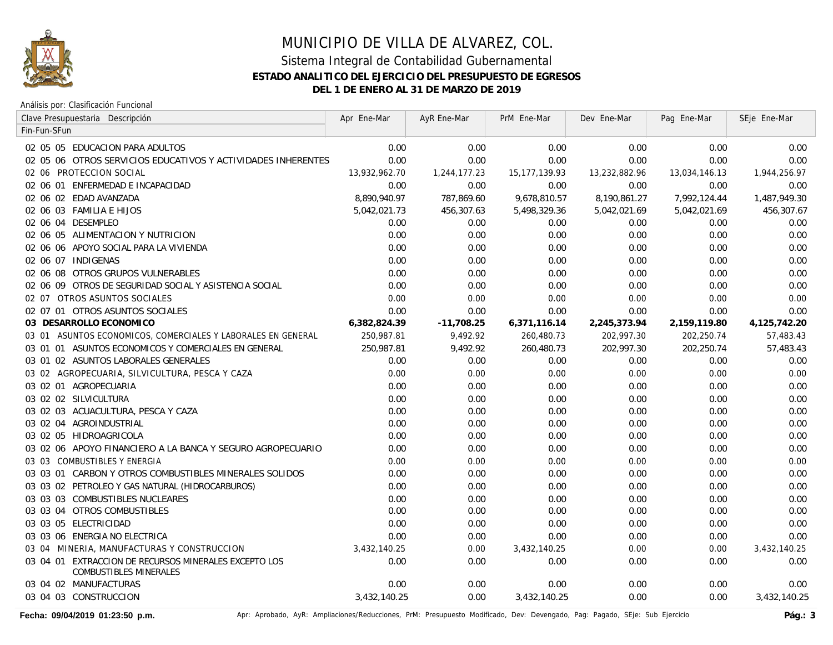

Análisis por: Clasificación Funcional

| Clave Presupuestaria Descripción                                                       | Apr Ene-Mar   | AyR Ene-Mar  | PrM Ene-Mar   | Dev Ene-Mar   | Pag Ene-Mar   | SEje Ene-Mar |
|----------------------------------------------------------------------------------------|---------------|--------------|---------------|---------------|---------------|--------------|
| Fin-Fun-SFun                                                                           |               |              |               |               |               |              |
| 02 05 05 EDUCACION PARA ADULTOS                                                        | 0.00          | 0.00         | 0.00          | 0.00          | 0.00          | 0.00         |
| 02 05 06 OTROS SERVICIOS EDUCATIVOS Y ACTIVIDADES INHERENTES                           | 0.00          | 0.00         | 0.00          | 0.00          | 0.00          | 0.00         |
| 02 06 PROTECCION SOCIAL                                                                | 13,932,962.70 | 1,244,177.23 | 15,177,139.93 | 13,232,882.96 | 13,034,146.13 | 1,944,256.97 |
| 02 06 01 ENFERMEDAD E INCAPACIDAD                                                      | 0.00          | 0.00         | 0.00          | 0.00          | 0.00          | 0.00         |
| 02 06 02 EDAD AVANZADA                                                                 | 8,890,940.97  | 787,869.60   | 9,678,810.57  | 8,190,861.27  | 7,992,124.44  | 1,487,949.30 |
| 02 06 03 FAMILIA E HIJOS                                                               | 5,042,021.73  | 456,307.63   | 5,498,329.36  | 5,042,021.69  | 5,042,021.69  | 456,307.67   |
| 02 06 04 DESEMPLEO                                                                     | 0.00          | 0.00         | 0.00          | 0.00          | 0.00          | 0.00         |
| 02 06 05 ALIMENTACION Y NUTRICION                                                      | 0.00          | 0.00         | 0.00          | 0.00          | 0.00          | 0.00         |
| 02 06 06 APOYO SOCIAL PARA LA VIVIENDA                                                 | 0.00          | 0.00         | 0.00          | 0.00          | 0.00          | 0.00         |
| 02 06 07 INDIGENAS                                                                     | 0.00          | 0.00         | 0.00          | 0.00          | 0.00          | 0.00         |
| 02 06 08 OTROS GRUPOS VULNERABLES                                                      | 0.00          | 0.00         | 0.00          | 0.00          | 0.00          | 0.00         |
| 02 06 09 OTROS DE SEGURIDAD SOCIAL Y ASISTENCIA SOCIAL                                 | 0.00          | 0.00         | 0.00          | 0.00          | 0.00          | 0.00         |
| 02 07 OTROS ASUNTOS SOCIALES                                                           | 0.00          | 0.00         | 0.00          | 0.00          | 0.00          | 0.00         |
| 02 07 01 OTROS ASUNTOS SOCIALES                                                        | 0.00          | 0.00         | 0.00          | 0.00          | 0.00          | 0.00         |
| 03 DESARROLLO ECONOMICO                                                                | 6,382,824.39  | $-11,708.25$ | 6,371,116.14  | 2,245,373.94  | 2,159,119.80  | 4,125,742.20 |
| 03 01 ASUNTOS ECONOMICOS, COMERCIALES Y LABORALES EN GENERAL                           | 250,987.81    | 9,492.92     | 260,480.73    | 202,997.30    | 202,250.74    | 57,483.43    |
| 03 01 01 ASUNTOS ECONOMICOS Y COMERCIALES EN GENERAL                                   | 250,987.81    | 9,492.92     | 260,480.73    | 202,997.30    | 202,250.74    | 57,483.43    |
| 03 01 02 ASUNTOS LABORALES GENERALES                                                   | 0.00          | 0.00         | 0.00          | 0.00          | 0.00          | 0.00         |
| 03 02 AGROPECUARIA, SILVICULTURA, PESCA Y CAZA                                         | 0.00          | 0.00         | 0.00          | 0.00          | 0.00          | 0.00         |
| 03 02 01 AGROPECUARIA                                                                  | 0.00          | 0.00         | 0.00          | 0.00          | 0.00          | 0.00         |
| 03 02 02 SILVICULTURA                                                                  | 0.00          | 0.00         | 0.00          | 0.00          | 0.00          | 0.00         |
| 03 02 03 ACUACULTURA, PESCA Y CAZA                                                     | 0.00          | 0.00         | 0.00          | 0.00          | 0.00          | 0.00         |
| 03 02 04 AGROINDUSTRIAL                                                                | 0.00          | 0.00         | 0.00          | 0.00          | 0.00          | 0.00         |
| 03 02 05 HIDROAGRICOLA                                                                 | 0.00          | 0.00         | 0.00          | 0.00          | 0.00          | 0.00         |
| 03 02 06 APOYO FINANCIERO A LA BANCA Y SEGURO AGROPECUARIO                             | 0.00          | 0.00         | 0.00          | 0.00          | 0.00          | 0.00         |
| 03 03 COMBUSTIBLES Y ENERGIA                                                           | 0.00          | 0.00         | 0.00          | 0.00          | 0.00          | 0.00         |
| 03 03 01 CARBON Y OTROS COMBUSTIBLES MINERALES SOLIDOS                                 | 0.00          | 0.00         | 0.00          | 0.00          | 0.00          | 0.00         |
| 03 03 02 PETROLEO Y GAS NATURAL (HIDROCARBUROS)                                        | 0.00          | 0.00         | 0.00          | 0.00          | 0.00          | 0.00         |
| 03 03 03 COMBUSTIBLES NUCLEARES                                                        | 0.00          | 0.00         | 0.00          | 0.00          | 0.00          | 0.00         |
| 03 03 04 OTROS COMBUSTIBLES                                                            | 0.00          | 0.00         | 0.00          | 0.00          | 0.00          | 0.00         |
| 03 03 05 ELECTRICIDAD                                                                  | 0.00          | 0.00         | 0.00          | 0.00          | 0.00          | 0.00         |
| 03 03 06 ENERGIA NO ELECTRICA                                                          | 0.00          | 0.00         | 0.00          | 0.00          | 0.00          | 0.00         |
| 03 04 MINERIA, MANUFACTURAS Y CONSTRUCCION                                             | 3,432,140.25  | 0.00         | 3,432,140.25  | 0.00          | 0.00          | 3,432,140.25 |
| 03 04 01 EXTRACCION DE RECURSOS MINERALES EXCEPTO LOS<br><b>COMBUSTIBLES MINERALES</b> | 0.00          | 0.00         | 0.00          | 0.00          | 0.00          | 0.00         |
| 03 04 02 MANUFACTURAS                                                                  | 0.00          | 0.00         | 0.00          | 0.00          | 0.00          | 0.00         |
| 03 04 03 CONSTRUCCION                                                                  | 3,432,140.25  | 0.00         | 3,432,140.25  | 0.00          | 0.00          | 3,432,140.25 |

Fecha: 09/04/2019 01:23:50 p.m. **Aprichationes Aprichationes/Reducciones**, PrM: Presupuesto Modificado, Dev: Devengado, Pag: Pagado, SEje: Sub Ejercicio Pág.: 3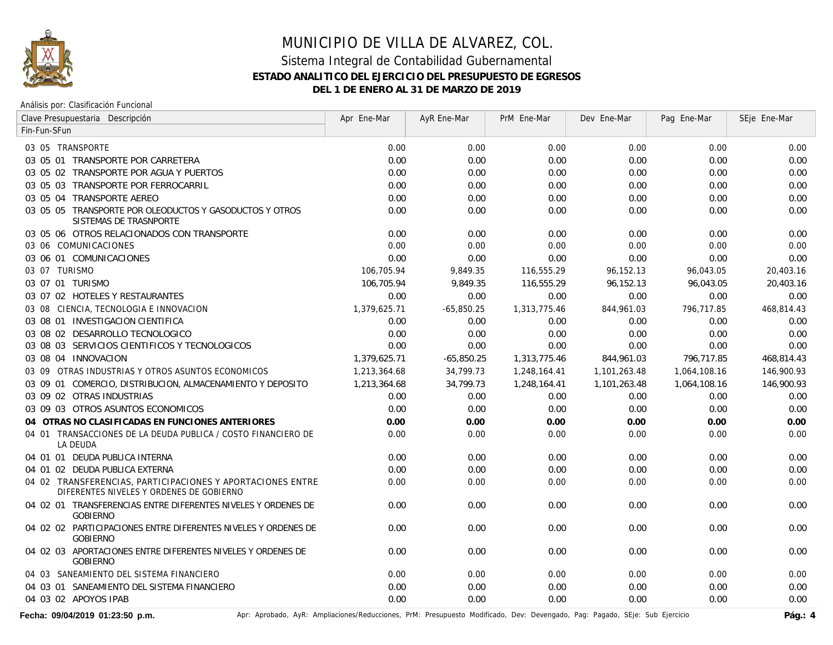

Análisis por: Clasificación Funcional

| Clave Presupuestaria Descripción                                                                       | Apr Ene-Mar  | AyR Ene-Mar  | PrM Ene-Mar  | Dev Ene-Mar  | Pag Ene-Mar  | SEje Ene-Mar |
|--------------------------------------------------------------------------------------------------------|--------------|--------------|--------------|--------------|--------------|--------------|
| Fin-Fun-SFun                                                                                           |              |              |              |              |              |              |
| 03 05 TRANSPORTE                                                                                       | 0.00         | 0.00         | 0.00         | 0.00         | 0.00         | 0.00         |
| 03 05 01 TRANSPORTE POR CARRETERA                                                                      | 0.00         | 0.00         | 0.00         | 0.00         | 0.00         | 0.00         |
| 03 05 02 TRANSPORTE POR AGUA Y PUERTOS                                                                 | 0.00         | 0.00         | 0.00         | 0.00         | 0.00         | 0.00         |
| 03 05 03 TRANSPORTE POR FERROCARRIL                                                                    | 0.00         | 0.00         | 0.00         | 0.00         | 0.00         | 0.00         |
| 03 05 04 TRANSPORTE AEREO                                                                              | 0.00         | 0.00         | 0.00         | 0.00         | 0.00         | 0.00         |
| 03 05 05 TRANSPORTE POR OLEODUCTOS Y GASODUCTOS Y OTROS<br>SISTEMAS DE TRASNPORTE                      | 0.00         | 0.00         | 0.00         | 0.00         | 0.00         | 0.00         |
| 03 05 06 OTROS RELACIONADOS CON TRANSPORTE                                                             | 0.00         | 0.00         | 0.00         | 0.00         | 0.00         | 0.00         |
| 03 06 COMUNICACIONES                                                                                   | 0.00         | 0.00         | 0.00         | 0.00         | 0.00         | 0.00         |
| 03 06 01 COMUNICACIONES                                                                                | 0.00         | 0.00         | 0.00         | 0.00         | 0.00         | 0.00         |
| 03 07 TURISMO                                                                                          | 106,705.94   | 9,849.35     | 116,555.29   | 96,152.13    | 96,043.05    | 20,403.16    |
| 03 07 01 TURISMO                                                                                       | 106,705.94   | 9,849.35     | 116,555.29   | 96,152.13    | 96,043.05    | 20,403.16    |
| 03 07 02 HOTELES Y RESTAURANTES                                                                        | 0.00         | 0.00         | 0.00         | 0.00         | 0.00         | 0.00         |
| 03 08 CIENCIA, TECNOLOGIA E INNOVACION                                                                 | 1,379,625.71 | $-65,850.25$ | 1,313,775.46 | 844,961.03   | 796,717.85   | 468,814.43   |
| 03 08 01 INVESTIGACION CIENTIFICA                                                                      | 0.00         | 0.00         | 0.00         | 0.00         | 0.00         | 0.00         |
| 03 08 02 DESARROLLO TECNOLOGICO                                                                        | 0.00         | 0.00         | 0.00         | 0.00         | 0.00         | 0.00         |
| 03 08 03 SERVICIOS CIENTIFICOS Y TECNOLOGICOS                                                          | 0.00         | 0.00         | 0.00         | 0.00         | 0.00         | 0.00         |
| 03 08 04 INNOVACION                                                                                    | 1,379,625.71 | $-65,850.25$ | 1,313,775.46 | 844,961.03   | 796,717.85   | 468,814.43   |
| 03 09 OTRAS INDUSTRIAS Y OTROS ASUNTOS ECONOMICOS                                                      | 1,213,364.68 | 34,799.73    | 1,248,164.41 | 1,101,263.48 | 1,064,108.16 | 146,900.93   |
| 03 09 01 COMERCIO, DISTRIBUCION, ALMACENAMIENTO Y DEPOSITO                                             | 1,213,364.68 | 34,799.73    | 1,248,164.41 | 1,101,263.48 | 1,064,108.16 | 146,900.93   |
| 03 09 02 OTRAS INDUSTRIAS                                                                              | 0.00         | 0.00         | 0.00         | 0.00         | 0.00         | 0.00         |
| 03 09 03 OTROS ASUNTOS ECONOMICOS                                                                      | 0.00         | 0.00         | 0.00         | 0.00         | 0.00         | 0.00         |
| 04 OTRAS NO CLASIFICADAS EN FUNCIONES ANTERIORES                                                       | 0.00         | 0.00         | 0.00         | 0.00         | 0.00         | 0.00         |
| 04 01 TRANSACCIONES DE LA DEUDA PUBLICA / COSTO FINANCIERO DE<br><b>LA DEUDA</b>                       | 0.00         | 0.00         | 0.00         | 0.00         | 0.00         | 0.00         |
| 04 01 01 DEUDA PUBLICA INTERNA                                                                         | 0.00         | 0.00         | 0.00         | 0.00         | 0.00         | 0.00         |
| 04 01 02 DEUDA PUBLICA EXTERNA                                                                         | 0.00         | 0.00         | 0.00         | 0.00         | 0.00         | 0.00         |
| 04 02 TRANSFERENCIAS, PARTICIPACIONES Y APORTACIONES ENTRE<br>DIFERENTES NIVELES Y ORDENES DE GOBIERNO | 0.00         | 0.00         | 0.00         | 0.00         | 0.00         | 0.00         |
| 04 02 01 TRANSFERENCIAS ENTRE DIFERENTES NIVELES Y ORDENES DE<br><b>GOBIERNO</b>                       | 0.00         | 0.00         | 0.00         | 0.00         | 0.00         | 0.00         |
| 04 02 02 PARTICIPACIONES ENTRE DIFERENTES NIVELES Y ORDENES DE<br><b>GOBIERNO</b>                      | 0.00         | 0.00         | 0.00         | 0.00         | 0.00         | 0.00         |
| 04 02 03 APORTACIONES ENTRE DIFERENTES NIVELES Y ORDENES DE<br><b>GOBIERNO</b>                         | 0.00         | 0.00         | 0.00         | 0.00         | 0.00         | 0.00         |
| 04 03 SANEAMIENTO DEL SISTEMA FINANCIERO                                                               | 0.00         | 0.00         | 0.00         | 0.00         | 0.00         | 0.00         |
| 04 03 01 SANEAMIENTO DEL SISTEMA FINANCIERO                                                            | 0.00         | 0.00         | 0.00         | 0.00         | 0.00         | 0.00         |
| 04 03 02 APOYOS IPAB                                                                                   | 0.00         | 0.00         | 0.00         | 0.00         | 0.00         | 0.00         |

Fecha: 09/04/2019 01:23:50 p.m. **Aprichationes**/Reducciones/Reducciones, PrM: Presupuesto Modificado, Dev: Devengado, Pag: Pagado, SEje: Sub Ejercicio Pág.: 4